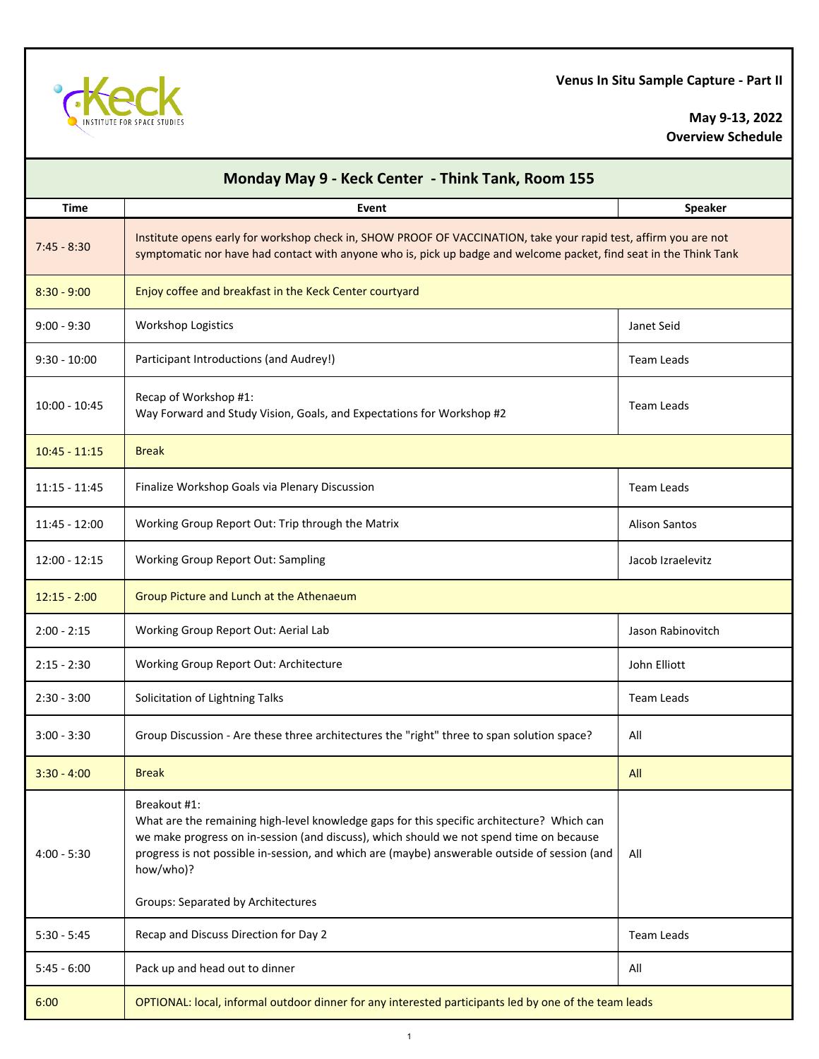

**May 9-13, 2022 Overview Schedule**

| Monday May 9 - Keck Center - Think Tank, Room 155 |                                                                                                                                                                                                                                                                                                                     |                      |  |  |
|---------------------------------------------------|---------------------------------------------------------------------------------------------------------------------------------------------------------------------------------------------------------------------------------------------------------------------------------------------------------------------|----------------------|--|--|
| <b>Time</b>                                       | Event                                                                                                                                                                                                                                                                                                               | <b>Speaker</b>       |  |  |
| $7:45 - 8:30$                                     | Institute opens early for workshop check in, SHOW PROOF OF VACCINATION, take your rapid test, affirm you are not<br>symptomatic nor have had contact with anyone who is, pick up badge and welcome packet, find seat in the Think Tank                                                                              |                      |  |  |
| $8:30 - 9:00$                                     | Enjoy coffee and breakfast in the Keck Center courtyard                                                                                                                                                                                                                                                             |                      |  |  |
| $9:00 - 9:30$                                     | <b>Workshop Logistics</b>                                                                                                                                                                                                                                                                                           | Janet Seid           |  |  |
| $9:30 - 10:00$                                    | Participant Introductions (and Audrey!)                                                                                                                                                                                                                                                                             | <b>Team Leads</b>    |  |  |
| $10:00 - 10:45$                                   | Recap of Workshop #1:<br>Way Forward and Study Vision, Goals, and Expectations for Workshop #2                                                                                                                                                                                                                      | <b>Team Leads</b>    |  |  |
| $10:45 - 11:15$                                   | <b>Break</b>                                                                                                                                                                                                                                                                                                        |                      |  |  |
| $11:15 - 11:45$                                   | Finalize Workshop Goals via Plenary Discussion                                                                                                                                                                                                                                                                      | <b>Team Leads</b>    |  |  |
| $11:45 - 12:00$                                   | Working Group Report Out: Trip through the Matrix                                                                                                                                                                                                                                                                   | <b>Alison Santos</b> |  |  |
| $12:00 - 12:15$                                   | <b>Working Group Report Out: Sampling</b>                                                                                                                                                                                                                                                                           | Jacob Izraelevitz    |  |  |
| $12:15 - 2:00$                                    | Group Picture and Lunch at the Athenaeum                                                                                                                                                                                                                                                                            |                      |  |  |
| $2:00 - 2:15$                                     | Working Group Report Out: Aerial Lab                                                                                                                                                                                                                                                                                | Jason Rabinovitch    |  |  |
| $2:15 - 2:30$                                     | Working Group Report Out: Architecture                                                                                                                                                                                                                                                                              | John Elliott         |  |  |
| $2:30 - 3:00$                                     | Solicitation of Lightning Talks                                                                                                                                                                                                                                                                                     | <b>Team Leads</b>    |  |  |
| $3:00 - 3:30$                                     | Group Discussion - Are these three architectures the "right" three to span solution space?                                                                                                                                                                                                                          | All                  |  |  |
| $3:30 - 4:00$                                     | <b>Break</b>                                                                                                                                                                                                                                                                                                        | All                  |  |  |
| $4:00 - 5:30$                                     | Breakout #1:<br>What are the remaining high-level knowledge gaps for this specific architecture? Which can<br>we make progress on in-session (and discuss), which should we not spend time on because<br>progress is not possible in-session, and which are (maybe) answerable outside of session (and<br>how/who)? | All                  |  |  |
|                                                   | <b>Groups: Separated by Architectures</b>                                                                                                                                                                                                                                                                           |                      |  |  |
| $5:30 - 5:45$                                     | Recap and Discuss Direction for Day 2                                                                                                                                                                                                                                                                               | Team Leads           |  |  |
| $5:45 - 6:00$                                     | Pack up and head out to dinner                                                                                                                                                                                                                                                                                      | All                  |  |  |
| 6:00                                              | OPTIONAL: local, informal outdoor dinner for any interested participants led by one of the team leads                                                                                                                                                                                                               |                      |  |  |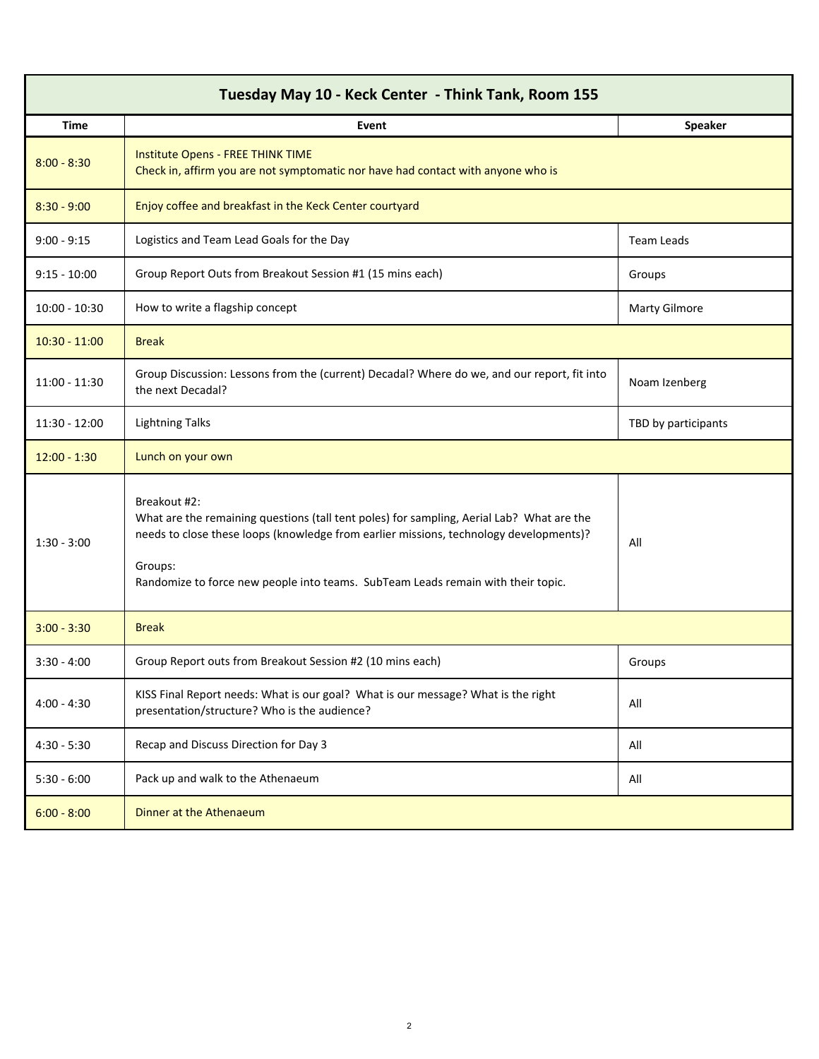| Tuesday May 10 - Keck Center - Think Tank, Room 155 |                                                                                                                                                                                                                                                                                                    |                      |  |
|-----------------------------------------------------|----------------------------------------------------------------------------------------------------------------------------------------------------------------------------------------------------------------------------------------------------------------------------------------------------|----------------------|--|
| <b>Time</b>                                         | Event                                                                                                                                                                                                                                                                                              | <b>Speaker</b>       |  |
| $8:00 - 8:30$                                       | Institute Opens - FREE THINK TIME<br>Check in, affirm you are not symptomatic nor have had contact with anyone who is                                                                                                                                                                              |                      |  |
| $8:30 - 9:00$                                       | Enjoy coffee and breakfast in the Keck Center courtyard                                                                                                                                                                                                                                            |                      |  |
| $9:00 - 9:15$                                       | Logistics and Team Lead Goals for the Day                                                                                                                                                                                                                                                          | <b>Team Leads</b>    |  |
| $9:15 - 10:00$                                      | Group Report Outs from Breakout Session #1 (15 mins each)                                                                                                                                                                                                                                          | Groups               |  |
| $10:00 - 10:30$                                     | How to write a flagship concept                                                                                                                                                                                                                                                                    | <b>Marty Gilmore</b> |  |
| $10:30 - 11:00$                                     | <b>Break</b>                                                                                                                                                                                                                                                                                       |                      |  |
| $11:00 - 11:30$                                     | Group Discussion: Lessons from the (current) Decadal? Where do we, and our report, fit into<br>the next Decadal?                                                                                                                                                                                   | Noam Izenberg        |  |
| 11:30 - 12:00                                       | <b>Lightning Talks</b>                                                                                                                                                                                                                                                                             | TBD by participants  |  |
| $12:00 - 1:30$                                      | Lunch on your own                                                                                                                                                                                                                                                                                  |                      |  |
| $1:30 - 3:00$                                       | Breakout #2:<br>What are the remaining questions (tall tent poles) for sampling, Aerial Lab? What are the<br>needs to close these loops (knowledge from earlier missions, technology developments)?<br>Groups:<br>Randomize to force new people into teams. SubTeam Leads remain with their topic. | All                  |  |
| $3:00 - 3:30$                                       | <b>Break</b>                                                                                                                                                                                                                                                                                       |                      |  |
| $3:30 - 4:00$                                       | Group Report outs from Breakout Session #2 (10 mins each)                                                                                                                                                                                                                                          | Groups               |  |
| $4:00 - 4:30$                                       | KISS Final Report needs: What is our goal? What is our message? What is the right<br>presentation/structure? Who is the audience?                                                                                                                                                                  | All                  |  |
| $4:30 - 5:30$                                       | Recap and Discuss Direction for Day 3                                                                                                                                                                                                                                                              | All                  |  |
| $5:30 - 6:00$                                       | Pack up and walk to the Athenaeum                                                                                                                                                                                                                                                                  | All                  |  |
| $6:00 - 8:00$                                       | Dinner at the Athenaeum                                                                                                                                                                                                                                                                            |                      |  |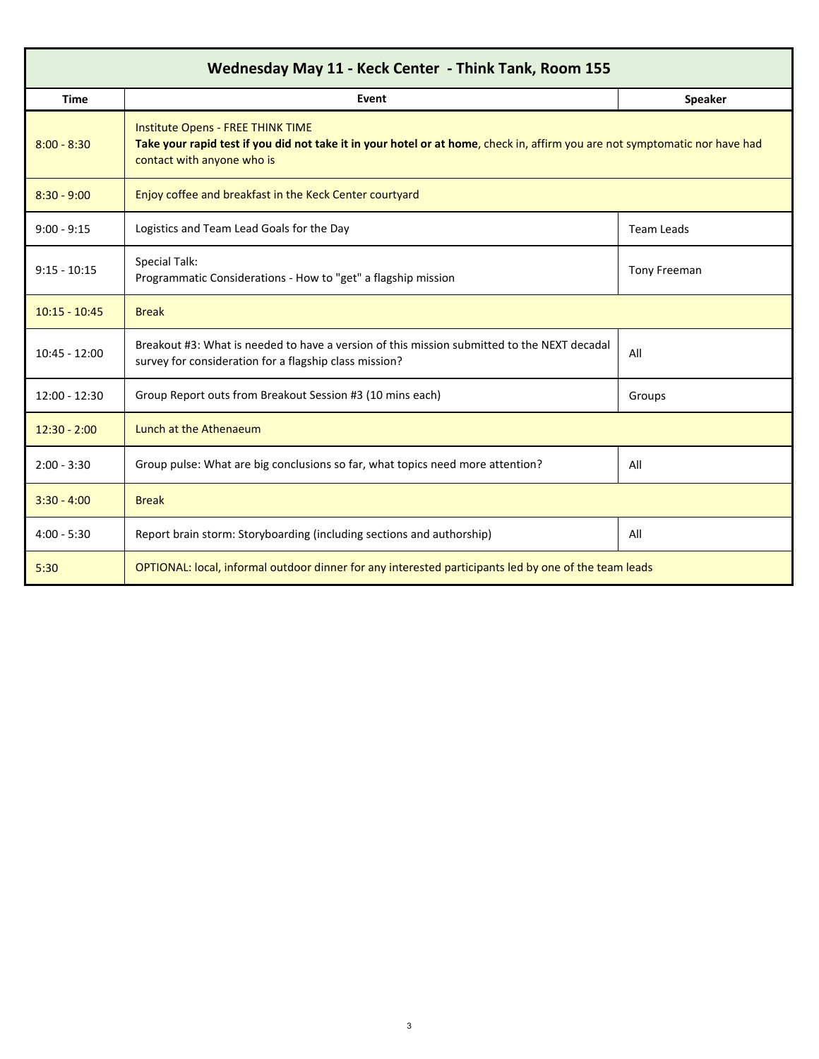| Wednesday May 11 - Keck Center - Think Tank, Room 155 |                                                                                                                                                                                                       |                   |  |  |
|-------------------------------------------------------|-------------------------------------------------------------------------------------------------------------------------------------------------------------------------------------------------------|-------------------|--|--|
| <b>Time</b>                                           | Event                                                                                                                                                                                                 | <b>Speaker</b>    |  |  |
| $8:00 - 8:30$                                         | <b>Institute Opens - FREE THINK TIME</b><br>Take your rapid test if you did not take it in your hotel or at home, check in, affirm you are not symptomatic nor have had<br>contact with anyone who is |                   |  |  |
| $8:30 - 9:00$                                         | Enjoy coffee and breakfast in the Keck Center courtyard                                                                                                                                               |                   |  |  |
| $9:00 - 9:15$                                         | Logistics and Team Lead Goals for the Day                                                                                                                                                             | <b>Team Leads</b> |  |  |
| $9:15 - 10:15$                                        | <b>Special Talk:</b><br>Programmatic Considerations - How to "get" a flagship mission                                                                                                                 | Tony Freeman      |  |  |
| $10:15 - 10:45$                                       | <b>Break</b>                                                                                                                                                                                          |                   |  |  |
| $10:45 - 12:00$                                       | Breakout #3: What is needed to have a version of this mission submitted to the NEXT decadal<br>survey for consideration for a flagship class mission?                                                 | All               |  |  |
| $12:00 - 12:30$                                       | Group Report outs from Breakout Session #3 (10 mins each)                                                                                                                                             | Groups            |  |  |
| $12:30 - 2:00$                                        | Lunch at the Athenaeum                                                                                                                                                                                |                   |  |  |
| $2:00 - 3:30$                                         | Group pulse: What are big conclusions so far, what topics need more attention?                                                                                                                        | All               |  |  |
| $3:30 - 4:00$                                         | <b>Break</b>                                                                                                                                                                                          |                   |  |  |
| $4:00 - 5:30$                                         | Report brain storm: Storyboarding (including sections and authorship)                                                                                                                                 | All               |  |  |
| 5:30                                                  | OPTIONAL: local, informal outdoor dinner for any interested participants led by one of the team leads                                                                                                 |                   |  |  |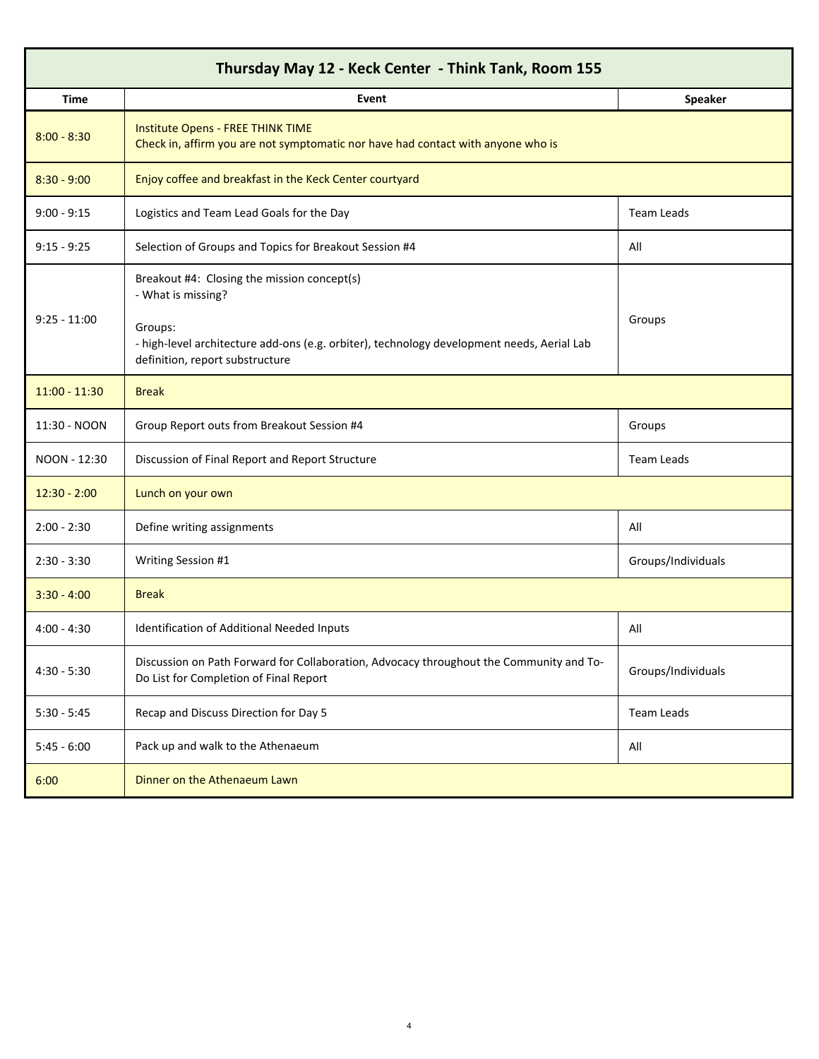| Thursday May 12 - Keck Center - Think Tank, Room 155 |                                                                                                                                   |                    |  |  |
|------------------------------------------------------|-----------------------------------------------------------------------------------------------------------------------------------|--------------------|--|--|
| <b>Time</b>                                          | Event                                                                                                                             | <b>Speaker</b>     |  |  |
| $8:00 - 8:30$                                        | Institute Opens - FREE THINK TIME<br>Check in, affirm you are not symptomatic nor have had contact with anyone who is             |                    |  |  |
| $8:30 - 9:00$                                        | Enjoy coffee and breakfast in the Keck Center courtyard                                                                           |                    |  |  |
| $9:00 - 9:15$                                        | Logistics and Team Lead Goals for the Day                                                                                         | Team Leads         |  |  |
| $9:15 - 9:25$                                        | Selection of Groups and Topics for Breakout Session #4                                                                            | All                |  |  |
| $9:25 - 11:00$                                       | Breakout #4: Closing the mission concept(s)<br>- What is missing?<br>Groups:                                                      | Groups             |  |  |
|                                                      | - high-level architecture add-ons (e.g. orbiter), technology development needs, Aerial Lab<br>definition, report substructure     |                    |  |  |
| $11:00 - 11:30$                                      | <b>Break</b>                                                                                                                      |                    |  |  |
| 11:30 - NOON                                         | Group Report outs from Breakout Session #4                                                                                        | Groups             |  |  |
| NOON - 12:30                                         | Discussion of Final Report and Report Structure                                                                                   | <b>Team Leads</b>  |  |  |
| $12:30 - 2:00$                                       | Lunch on your own                                                                                                                 |                    |  |  |
| $2:00 - 2:30$                                        | Define writing assignments                                                                                                        | All                |  |  |
| $2:30 - 3:30$                                        | <b>Writing Session #1</b>                                                                                                         | Groups/Individuals |  |  |
| $3:30 - 4:00$                                        | <b>Break</b>                                                                                                                      |                    |  |  |
| $4:00 - 4:30$                                        | Identification of Additional Needed Inputs                                                                                        | All                |  |  |
| $4:30 - 5:30$                                        | Discussion on Path Forward for Collaboration, Advocacy throughout the Community and To-<br>Do List for Completion of Final Report | Groups/Individuals |  |  |
| $5:30 - 5:45$                                        | Recap and Discuss Direction for Day 5                                                                                             | Team Leads         |  |  |
| $5:45 - 6:00$                                        | Pack up and walk to the Athenaeum                                                                                                 | All                |  |  |
| 6:00                                                 | Dinner on the Athenaeum Lawn                                                                                                      |                    |  |  |